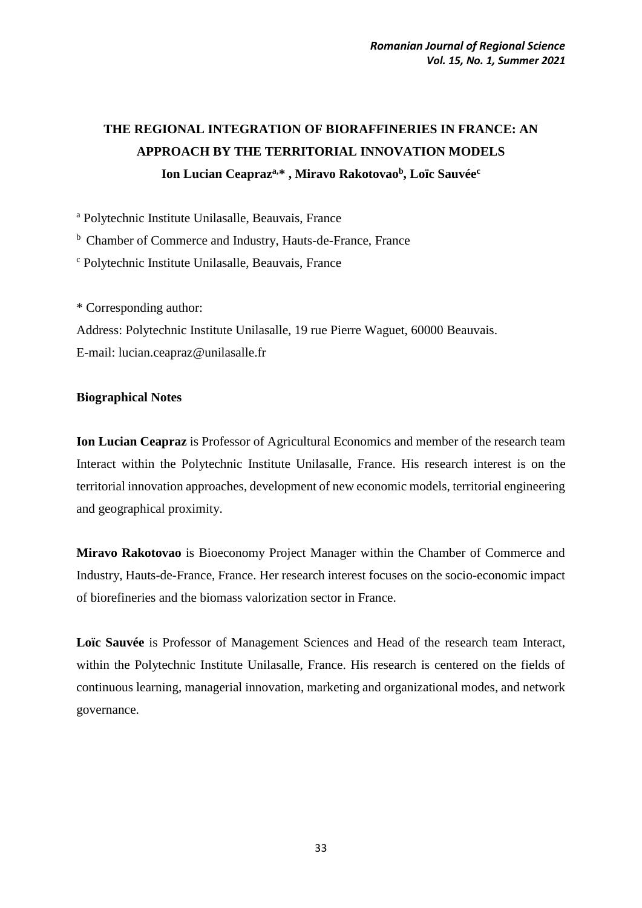# **THE REGIONAL INTEGRATION OF BIORAFFINERIES IN FRANCE: AN APPROACH BY THE TERRITORIAL INNOVATION MODELS Ion Lucian Ceapraza,\* , Miravo Rakotovao<sup>b</sup> , Loïc Sauvée<sup>c</sup>**

<sup>a</sup> Polytechnic Institute Unilasalle, Beauvais, France

<sup>b</sup> Chamber of Commerce and Industry, Hauts-de-France, France

<sup>c</sup> Polytechnic Institute Unilasalle, Beauvais, France

\* Corresponding author:

Address: Polytechnic Institute Unilasalle, 19 rue Pierre Waguet, 60000 Beauvais. E-mail: [lucian.ceapraz@unilasalle.fr](mailto:lucian.ceapraz@unilasalle.fr)

## **Biographical Notes**

**Ion Lucian Ceapraz** is Professor of Agricultural Economics and member of the research team Interact within the Polytechnic Institute Unilasalle, France. His research interest is on the territorial innovation approaches, development of new economic models, territorial engineering and geographical proximity.

**Miravo Rakotovao** is Bioeconomy Project Manager within the Chamber of Commerce and Industry, Hauts-de-France, France. Her research interest focuses on the socio-economic impact of biorefineries and the biomass valorization sector in France.

**Loïc Sauvée** is Professor of Management Sciences and Head of the research team Interact, within the Polytechnic Institute Unilasalle, France. His research is centered on the fields of continuous learning, managerial innovation, marketing and organizational modes, and network governance.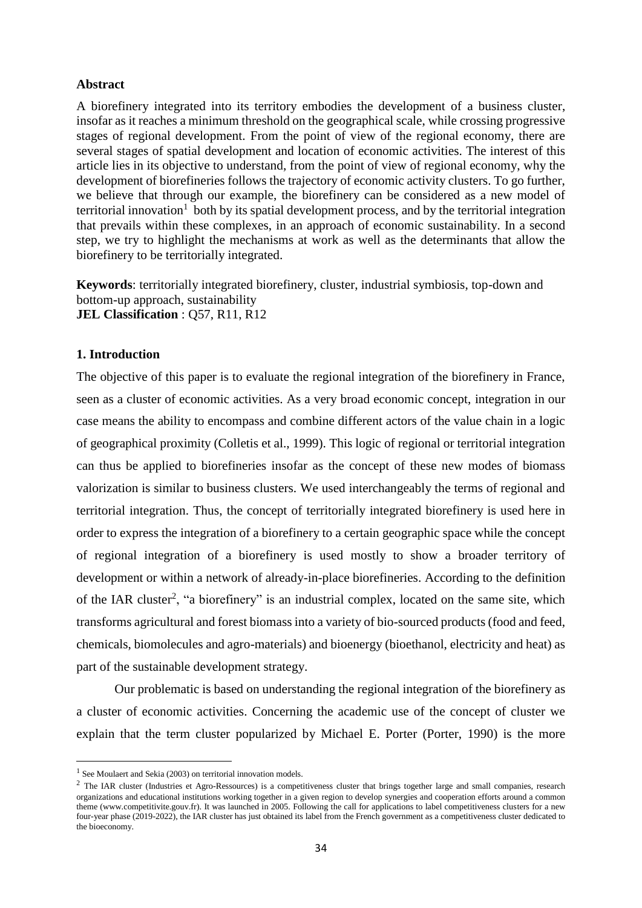#### **Abstract**

A biorefinery integrated into its territory embodies the development of a business cluster, insofar as it reaches a minimum threshold on the geographical scale, while crossing progressive stages of regional development. From the point of view of the regional economy, there are several stages of spatial development and location of economic activities. The interest of this article lies in its objective to understand, from the point of view of regional economy, why the development of biorefineries follows the trajectory of economic activity clusters. To go further, we believe that through our example, the biorefinery can be considered as a new model of territorial innovation<sup>1</sup> both by its spatial development process, and by the territorial integration that prevails within these complexes, in an approach of economic sustainability. In a second step, we try to highlight the mechanisms at work as well as the determinants that allow the biorefinery to be territorially integrated.

**Keywords**: territorially integrated biorefinery, cluster, industrial symbiosis, top-down and bottom-up approach, sustainability **JEL Classification** : Q57, R11, R12

#### **1. Introduction**

The objective of this paper is to evaluate the regional integration of the biorefinery in France, seen as a cluster of economic activities. As a very broad economic concept, integration in our case means the ability to encompass and combine different actors of the value chain in a logic of geographical proximity (Colletis et al., 1999). This logic of regional or territorial integration can thus be applied to biorefineries insofar as the concept of these new modes of biomass valorization is similar to business clusters. We used interchangeably the terms of regional and territorial integration. Thus, the concept of territorially integrated biorefinery is used here in order to express the integration of a biorefinery to a certain geographic space while the concept of regional integration of a biorefinery is used mostly to show a broader territory of development or within a network of already-in-place biorefineries. According to the definition of the IAR cluster<sup>2</sup>, "a biorefinery" is an industrial complex, located on the same site, which transforms agricultural and forest biomass into a variety of bio-sourced products (food and feed, chemicals, biomolecules and agro-materials) and bioenergy (bioethanol, electricity and heat) as part of the sustainable development strategy.

Our problematic is based on understanding the regional integration of the biorefinery as a cluster of economic activities. Concerning the academic use of the concept of cluster we explain that the term cluster popularized by Michael E. Porter (Porter, 1990) is the more

 $\overline{\phantom{a}}$ 

<sup>&</sup>lt;sup>1</sup> See Moulaert and Sekia (2003) on territorial innovation models.

<sup>&</sup>lt;sup>2</sup> The IAR cluster (Industries et Agro-Ressources) is a competitiveness cluster that brings together large and small companies, research organizations and educational institutions working together in a given region to develop synergies and cooperation efforts around a common theme (www.competitivite.gouv.fr). It was launched in 2005. Following the call for applications to label competitiveness clusters for a new four-year phase (2019-2022), the IAR cluster has just obtained its label from the French government as a competitiveness cluster dedicated to the bioeconomy.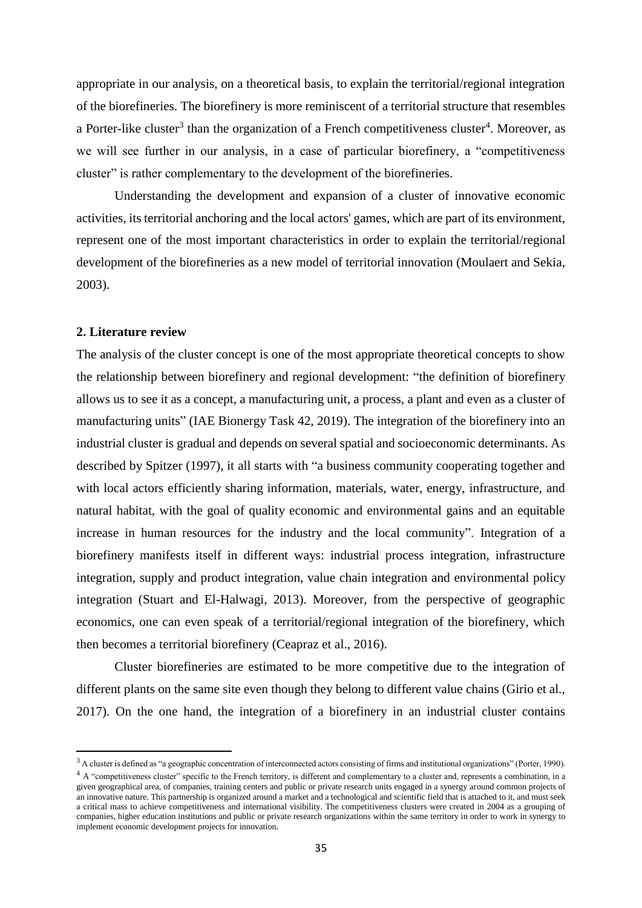appropriate in our analysis, on a theoretical basis, to explain the territorial/regional integration of the biorefineries. The biorefinery is more reminiscent of a territorial structure that resembles a Porter-like cluster<sup>3</sup> than the organization of a French competitiveness cluster<sup>4</sup>. Moreover, as we will see further in our analysis, in a case of particular biorefinery, a "competitiveness cluster" is rather complementary to the development of the biorefineries.

Understanding the development and expansion of a cluster of innovative economic activities, its territorial anchoring and the local actors' games, which are part of its environment, represent one of the most important characteristics in order to explain the territorial/regional development of the biorefineries as a new model of territorial innovation (Moulaert and Sekia, 2003).

#### **2. Literature review**

 $\overline{a}$ 

The analysis of the cluster concept is one of the most appropriate theoretical concepts to show the relationship between biorefinery and regional development: "the definition of biorefinery allows us to see it as a concept, a manufacturing unit, a process, a plant and even as a cluster of manufacturing units" (IAE Bionergy Task 42, 2019). The integration of the biorefinery into an industrial cluster is gradual and depends on several spatial and socioeconomic determinants. As described by Spitzer (1997), it all starts with "a business community cooperating together and with local actors efficiently sharing information, materials, water, energy, infrastructure, and natural habitat, with the goal of quality economic and environmental gains and an equitable increase in human resources for the industry and the local community". Integration of a biorefinery manifests itself in different ways: industrial process integration, infrastructure integration, supply and product integration, value chain integration and environmental policy integration (Stuart and El-Halwagi, 2013). Moreover, from the perspective of geographic economics, one can even speak of a territorial/regional integration of the biorefinery, which then becomes a territorial biorefinery (Ceapraz et al., 2016).

Cluster biorefineries are estimated to be more competitive due to the integration of different plants on the same site even though they belong to different value chains (Girio et al., 2017). On the one hand, the integration of a biorefinery in an industrial cluster contains

<sup>&</sup>lt;sup>3</sup> A cluster is defined as "a geographic concentration of interconnected actors consisting of firms and institutional organizations" (Porter, 1990). <sup>4</sup> A "competitiveness cluster" specific to the French territory, is different and complementary to a cluster and, represents a combination, in a given geographical area, of companies, training centers and public or private research units engaged in a synergy around common projects of an innovative nature. This partnership is organized around a market and a technological and scientific field that is attached to it, and must seek a critical mass to achieve competitiveness and international visibility. The competitiveness clusters were created in 2004 as a grouping of companies, higher education institutions and public or private research organizations within the same territory in order to work in synergy to implement economic development projects for innovation.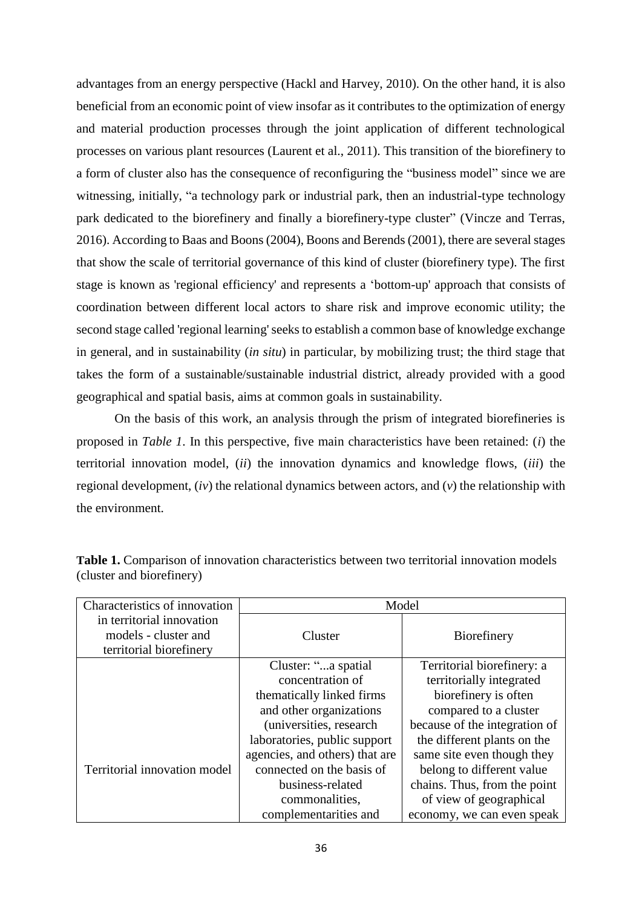advantages from an energy perspective (Hackl and Harvey, 2010). On the other hand, it is also beneficial from an economic point of view insofar as it contributes to the optimization of energy and material production processes through the joint application of different technological processes on various plant resources (Laurent et al., 2011). This transition of the biorefinery to a form of cluster also has the consequence of reconfiguring the "business model" since we are witnessing, initially, "a technology park or industrial park, then an industrial-type technology park dedicated to the biorefinery and finally a biorefinery-type cluster" (Vincze and Terras, 2016). According to Baas and Boons (2004), Boons and Berends (2001), there are several stages that show the scale of territorial governance of this kind of cluster (biorefinery type). The first stage is known as 'regional efficiency' and represents a 'bottom-up' approach that consists of coordination between different local actors to share risk and improve economic utility; the second stage called 'regional learning' seeks to establish a common base of knowledge exchange in general, and in sustainability (*in situ*) in particular, by mobilizing trust; the third stage that takes the form of a sustainable/sustainable industrial district, already provided with a good geographical and spatial basis, aims at common goals in sustainability.

On the basis of this work, an analysis through the prism of integrated biorefineries is proposed in *Table 1*. In this perspective, five main characteristics have been retained: (*i*) the territorial innovation model, (*ii*) the innovation dynamics and knowledge flows, (*iii*) the regional development, (*iv*) the relational dynamics between actors, and (*v*) the relationship with the environment.

| Characteristics of innovation                                                | Model                          |                               |  |
|------------------------------------------------------------------------------|--------------------------------|-------------------------------|--|
| in territorial innovation<br>models - cluster and<br>territorial biorefinery | Cluster                        | Biorefinery                   |  |
|                                                                              | Cluster: "a spatial            | Territorial biorefinery: a    |  |
|                                                                              | concentration of               | territorially integrated      |  |
|                                                                              | thematically linked firms      | biorefinery is often          |  |
|                                                                              | and other organizations        | compared to a cluster         |  |
|                                                                              | (universities, research)       | because of the integration of |  |
|                                                                              | laboratories, public support   | the different plants on the   |  |
|                                                                              | agencies, and others) that are | same site even though they    |  |
| Territorial innovation model                                                 | connected on the basis of      | belong to different value     |  |
|                                                                              | business-related               | chains. Thus, from the point  |  |
|                                                                              | commonalities,                 | of view of geographical       |  |
|                                                                              | complementarities and          | economy, we can even speak    |  |

Table 1. Comparison of innovation characteristics between two territorial innovation models (cluster and biorefinery)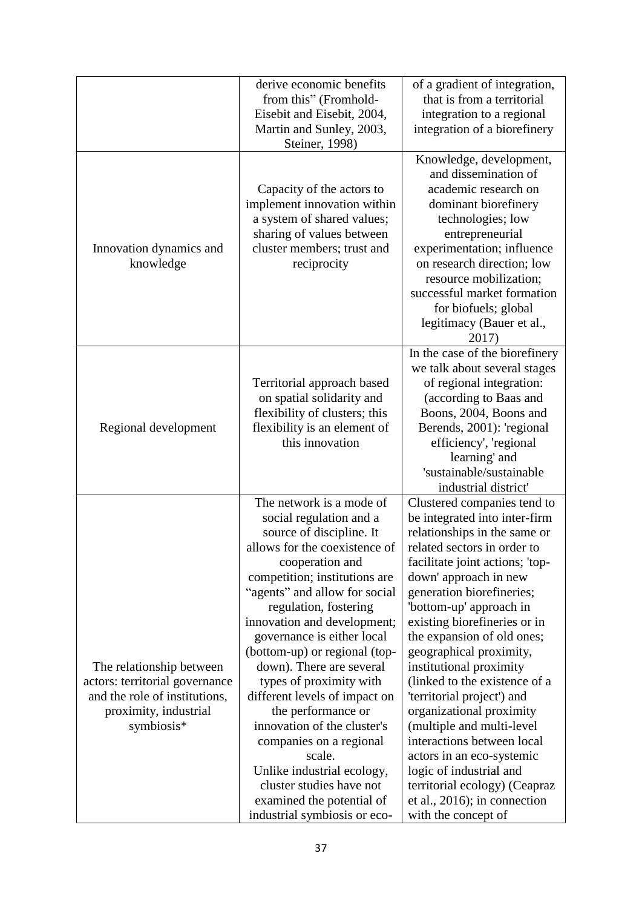|                                | derive economic benefits      | of a gradient of integration,   |
|--------------------------------|-------------------------------|---------------------------------|
|                                | from this" (Fromhold-         | that is from a territorial      |
|                                | Eisebit and Eisebit, 2004,    | integration to a regional       |
|                                | Martin and Sunley, 2003,      | integration of a biorefinery    |
|                                | Steiner, 1998)                |                                 |
|                                |                               | Knowledge, development,         |
|                                |                               | and dissemination of            |
|                                | Capacity of the actors to     | academic research on            |
|                                | implement innovation within   | dominant biorefinery            |
|                                | a system of shared values;    | technologies; low               |
|                                | sharing of values between     | entrepreneurial                 |
| Innovation dynamics and        | cluster members; trust and    | experimentation; influence      |
| knowledge                      | reciprocity                   | on research direction; low      |
|                                |                               | resource mobilization;          |
|                                |                               | successful market formation     |
|                                |                               |                                 |
|                                |                               | for biofuels; global            |
|                                |                               | legitimacy (Bauer et al.,       |
|                                |                               | 2017)                           |
|                                |                               | In the case of the biorefinery  |
|                                |                               | we talk about several stages    |
|                                | Territorial approach based    | of regional integration:        |
|                                | on spatial solidarity and     | (according to Baas and          |
|                                | flexibility of clusters; this | Boons, 2004, Boons and          |
| Regional development           | flexibility is an element of  | Berends, 2001): 'regional       |
|                                | this innovation               | efficiency', 'regional          |
|                                |                               | learning' and                   |
|                                |                               | 'sustainable/sustainable        |
|                                |                               | industrial district'            |
|                                | The network is a mode of      | Clustered companies tend to     |
|                                | social regulation and a       | be integrated into inter-firm   |
|                                | source of discipline. It      | relationships in the same or    |
|                                | allows for the coexistence of | related sectors in order to     |
|                                | cooperation and               | facilitate joint actions; 'top- |
|                                | competition; institutions are | down' approach in new           |
|                                | "agents" and allow for social | generation biorefineries;       |
|                                | regulation, fostering         | 'bottom-up' approach in         |
|                                | innovation and development;   | existing biorefineries or in    |
|                                | governance is either local    | the expansion of old ones;      |
|                                | (bottom-up) or regional (top- | geographical proximity,         |
| The relationship between       | down). There are several      | institutional proximity         |
| actors: territorial governance | types of proximity with       | (linked to the existence of a   |
| and the role of institutions,  | different levels of impact on | 'territorial project') and      |
| proximity, industrial          | the performance or            | organizational proximity        |
| symbiosis*                     | innovation of the cluster's   | (multiple and multi-level       |
|                                | companies on a regional       | interactions between local      |
|                                | scale.                        | actors in an eco-systemic       |
|                                | Unlike industrial ecology,    | logic of industrial and         |
|                                | cluster studies have not      | territorial ecology) (Ceapraz   |
|                                | examined the potential of     | et al., $2016$ ; in connection  |
|                                | industrial symbiosis or eco-  | with the concept of             |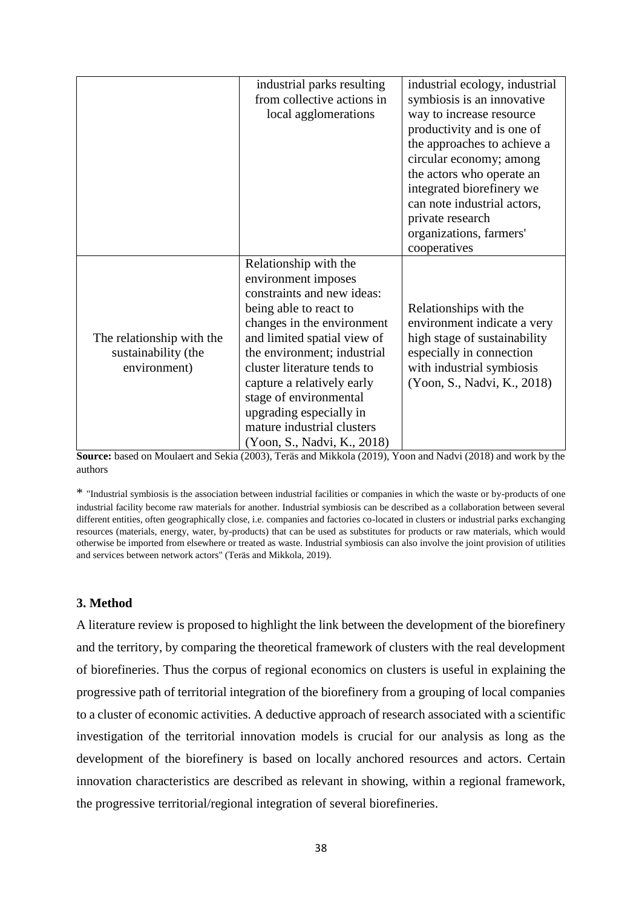|                           | industrial parks resulting  | industrial ecology, industrial |
|---------------------------|-----------------------------|--------------------------------|
|                           | from collective actions in  | symbiosis is an innovative     |
|                           | local agglomerations        | way to increase resource       |
|                           |                             | productivity and is one of     |
|                           |                             | the approaches to achieve a    |
|                           |                             | circular economy; among        |
|                           |                             | the actors who operate an      |
|                           |                             | integrated biorefinery we      |
|                           |                             | can note industrial actors,    |
|                           |                             | private research               |
|                           |                             | organizations, farmers'        |
|                           |                             | cooperatives                   |
|                           | Relationship with the       |                                |
|                           | environment imposes         |                                |
|                           | constraints and new ideas:  |                                |
|                           | being able to react to      | Relationships with the         |
|                           | changes in the environment  | environment indicate a very    |
| The relationship with the | and limited spatial view of | high stage of sustainability   |
| sustainability (the       | the environment; industrial | especially in connection       |
| environment)              | cluster literature tends to | with industrial symbiosis      |
|                           | capture a relatively early  | (Yoon, S., Nadvi, K., 2018)    |
|                           | stage of environmental      |                                |
|                           | upgrading especially in     |                                |
|                           | mature industrial clusters  |                                |
|                           | (Yoon, S., Nadvi, K., 2018) |                                |

**Source:** based on Moulaert and Sekia (2003), Teräs and Mikkola (2019), Yoon and Nadvi (2018) and work by the authors

\* "Industrial symbiosis is the association between industrial facilities or companies in which the waste or by-products of one industrial facility become raw materials for another. Industrial symbiosis can be described as a collaboration between several different entities, often geographically close, i.e. companies and factories co-located in clusters or industrial parks exchanging resources (materials, energy, water, by-products) that can be used as substitutes for products or raw materials, which would otherwise be imported from elsewhere or treated as waste. Industrial symbiosis can also involve the joint provision of utilities and services between network actors" (Teräs and Mikkola, 2019).

## **3. Method**

A literature review is proposed to highlight the link between the development of the biorefinery and the territory, by comparing the theoretical framework of clusters with the real development of biorefineries. Thus the corpus of regional economics on clusters is useful in explaining the progressive path of territorial integration of the biorefinery from a grouping of local companies to a cluster of economic activities. A deductive approach of research associated with a scientific investigation of the territorial innovation models is crucial for our analysis as long as the development of the biorefinery is based on locally anchored resources and actors. Certain innovation characteristics are described as relevant in showing, within a regional framework, the progressive territorial/regional integration of several biorefineries.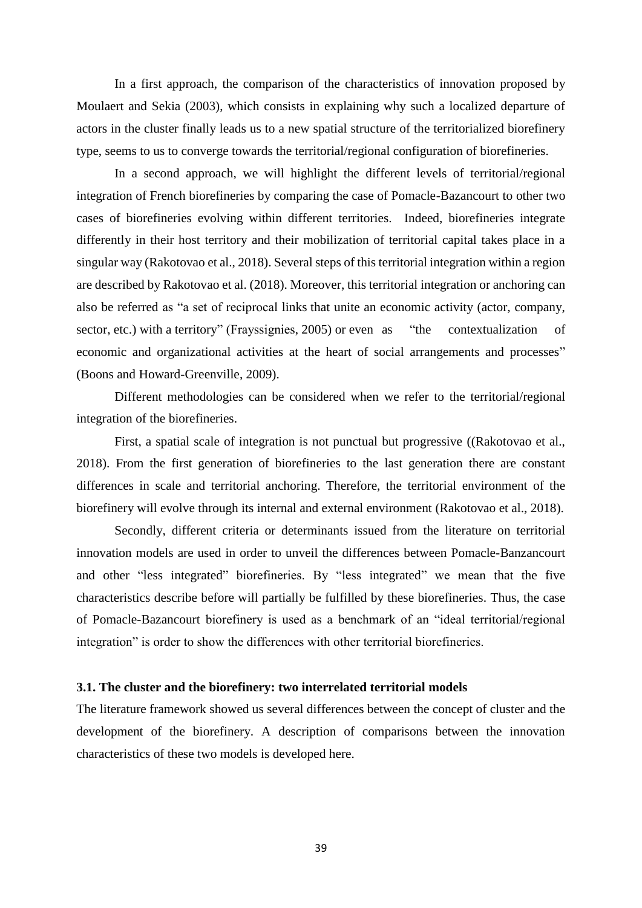In a first approach, the comparison of the characteristics of innovation proposed by Moulaert and Sekia (2003), which consists in explaining why such a localized departure of actors in the cluster finally leads us to a new spatial structure of the territorialized biorefinery type, seems to us to converge towards the territorial/regional configuration of biorefineries.

In a second approach, we will highlight the different levels of territorial/regional integration of French biorefineries by comparing the case of Pomacle-Bazancourt to other two cases of biorefineries evolving within different territories. Indeed, biorefineries integrate differently in their host territory and their mobilization of territorial capital takes place in a singular way (Rakotovao et al., 2018). Several steps of this territorial integration within a region are described by Rakotovao et al. (2018). Moreover, this territorial integration or anchoring can also be referred as "a set of reciprocal links that unite an economic activity (actor, company, sector, etc.) with a territory" (Frayssignies, 2005) or even as "the contextualization of economic and organizational activities at the heart of social arrangements and processes" (Boons and Howard-Greenville, 2009).

Different methodologies can be considered when we refer to the territorial/regional integration of the biorefineries.

First, a spatial scale of integration is not punctual but progressive ((Rakotovao et al., 2018). From the first generation of biorefineries to the last generation there are constant differences in scale and territorial anchoring. Therefore, the territorial environment of the biorefinery will evolve through its internal and external environment (Rakotovao et al., 2018).

Secondly, different criteria or determinants issued from the literature on territorial innovation models are used in order to unveil the differences between Pomacle-Banzancourt and other "less integrated" biorefineries. By "less integrated" we mean that the five characteristics describe before will partially be fulfilled by these biorefineries. Thus, the case of Pomacle-Bazancourt biorefinery is used as a benchmark of an "ideal territorial/regional integration" is order to show the differences with other territorial biorefineries.

#### **3.1. The cluster and the biorefinery: two interrelated territorial models**

The literature framework showed us several differences between the concept of cluster and the development of the biorefinery. A description of comparisons between the innovation characteristics of these two models is developed here.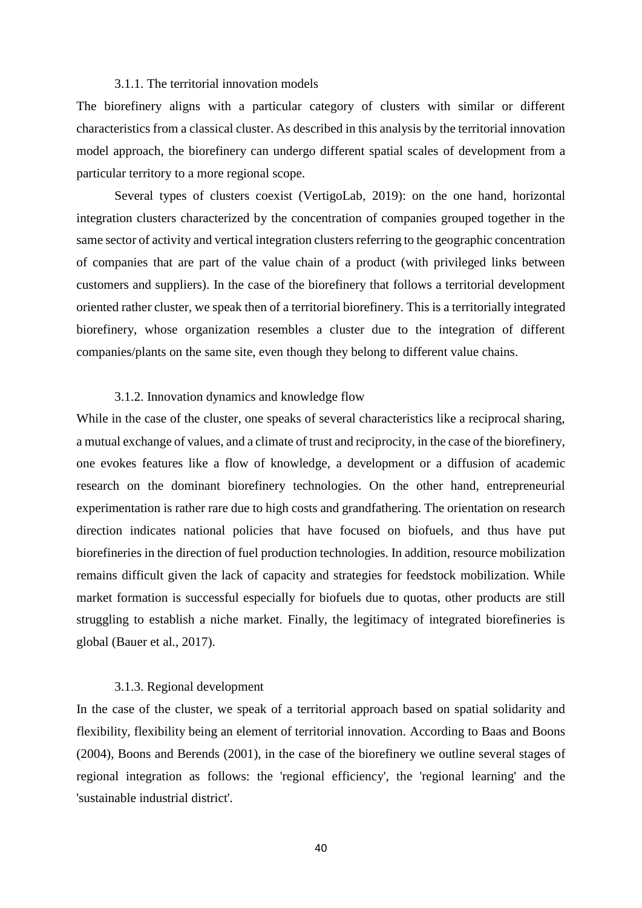#### 3.1.1. The territorial innovation models

The biorefinery aligns with a particular category of clusters with similar or different characteristics from a classical cluster. As described in this analysis by the territorial innovation model approach, the biorefinery can undergo different spatial scales of development from a particular territory to a more regional scope.

Several types of clusters coexist (VertigoLab, 2019): on the one hand, horizontal integration clusters characterized by the concentration of companies grouped together in the same sector of activity and vertical integration clusters referring to the geographic concentration of companies that are part of the value chain of a product (with privileged links between customers and suppliers). In the case of the biorefinery that follows a territorial development oriented rather cluster, we speak then of a territorial biorefinery. This is a territorially integrated biorefinery, whose organization resembles a cluster due to the integration of different companies/plants on the same site, even though they belong to different value chains.

#### 3.1.2. Innovation dynamics and knowledge flow

While in the case of the cluster, one speaks of several characteristics like a reciprocal sharing, a mutual exchange of values, and a climate of trust and reciprocity, in the case of the biorefinery, one evokes features like a flow of knowledge, a development or a diffusion of academic research on the dominant biorefinery technologies. On the other hand, entrepreneurial experimentation is rather rare due to high costs and grandfathering. The orientation on research direction indicates national policies that have focused on biofuels, and thus have put biorefineries in the direction of fuel production technologies. In addition, resource mobilization remains difficult given the lack of capacity and strategies for feedstock mobilization. While market formation is successful especially for biofuels due to quotas, other products are still struggling to establish a niche market. Finally, the legitimacy of integrated biorefineries is global (Bauer et al., 2017).

#### 3.1.3. Regional development

In the case of the cluster, we speak of a territorial approach based on spatial solidarity and flexibility, flexibility being an element of territorial innovation. According to Baas and Boons (2004), Boons and Berends (2001), in the case of the biorefinery we outline several stages of regional integration as follows: the 'regional efficiency', the 'regional learning' and the 'sustainable industrial district'.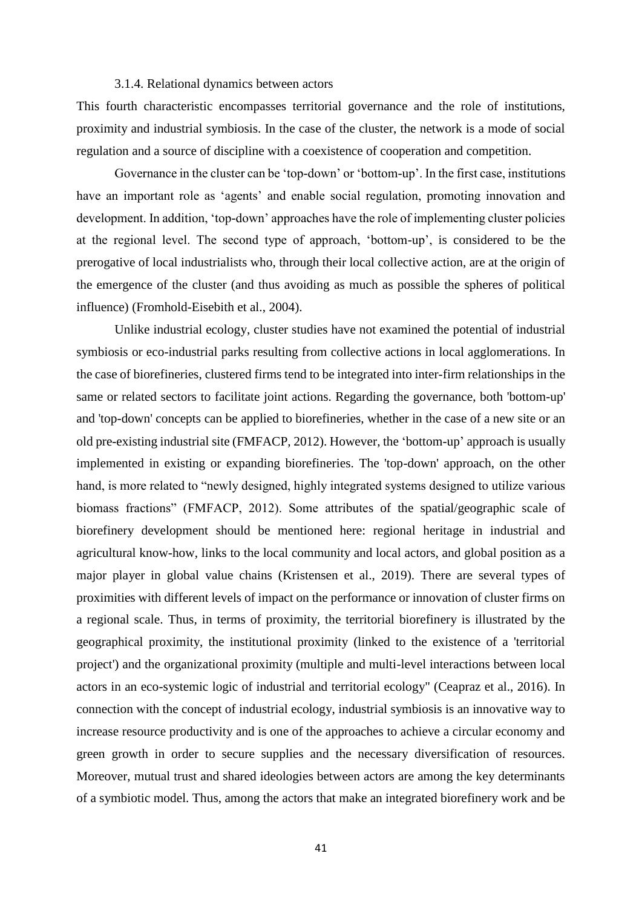#### 3.1.4. Relational dynamics between actors

This fourth characteristic encompasses territorial governance and the role of institutions, proximity and industrial symbiosis. In the case of the cluster, the network is a mode of social regulation and a source of discipline with a coexistence of cooperation and competition.

Governance in the cluster can be 'top-down' or 'bottom-up'. In the first case, institutions have an important role as 'agents' and enable social regulation, promoting innovation and development. In addition, 'top-down' approaches have the role of implementing cluster policies at the regional level. The second type of approach, 'bottom-up', is considered to be the prerogative of local industrialists who, through their local collective action, are at the origin of the emergence of the cluster (and thus avoiding as much as possible the spheres of political influence) (Fromhold-Eisebith et al., 2004).

Unlike industrial ecology, cluster studies have not examined the potential of industrial symbiosis or eco-industrial parks resulting from collective actions in local agglomerations. In the case of biorefineries, clustered firms tend to be integrated into inter-firm relationships in the same or related sectors to facilitate joint actions. Regarding the governance, both 'bottom-up' and 'top-down' concepts can be applied to biorefineries, whether in the case of a new site or an old pre-existing industrial site (FMFACP, 2012). However, the 'bottom-up' approach is usually implemented in existing or expanding biorefineries. The 'top-down' approach, on the other hand, is more related to "newly designed, highly integrated systems designed to utilize various biomass fractions" (FMFACP, 2012). Some attributes of the spatial/geographic scale of biorefinery development should be mentioned here: regional heritage in industrial and agricultural know-how, links to the local community and local actors, and global position as a major player in global value chains (Kristensen et al., 2019). There are several types of proximities with different levels of impact on the performance or innovation of cluster firms on a regional scale. Thus, in terms of proximity, the territorial biorefinery is illustrated by the geographical proximity, the institutional proximity (linked to the existence of a 'territorial project') and the organizational proximity (multiple and multi-level interactions between local actors in an eco-systemic logic of industrial and territorial ecology" (Ceapraz et al., 2016). In connection with the concept of industrial ecology, industrial symbiosis is an innovative way to increase resource productivity and is one of the approaches to achieve a circular economy and green growth in order to secure supplies and the necessary diversification of resources. Moreover, mutual trust and shared ideologies between actors are among the key determinants of a symbiotic model. Thus, among the actors that make an integrated biorefinery work and be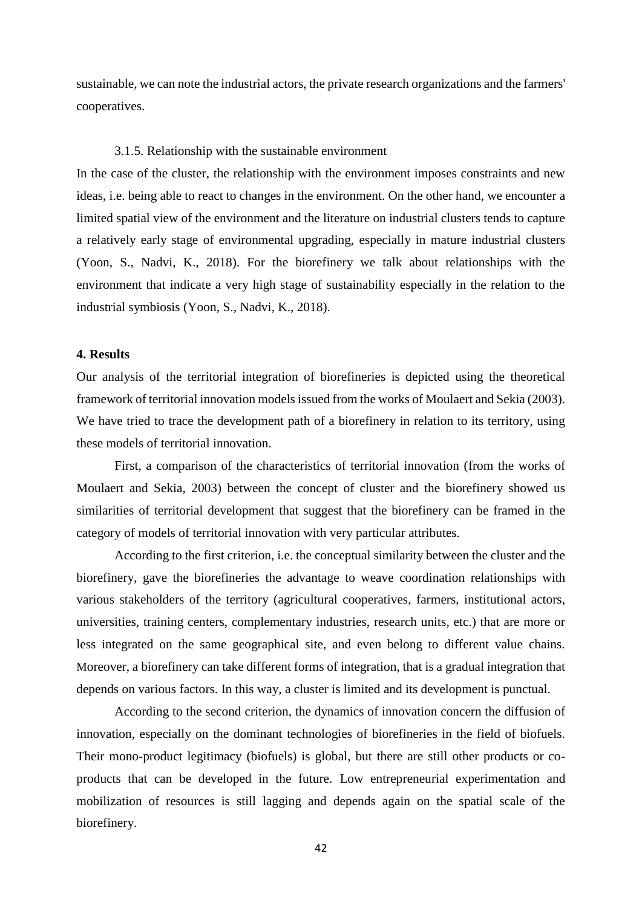sustainable, we can note the industrial actors, the private research organizations and the farmers' cooperatives.

#### 3.1.5. Relationship with the sustainable environment

In the case of the cluster, the relationship with the environment imposes constraints and new ideas, i.e. being able to react to changes in the environment. On the other hand, we encounter a limited spatial view of the environment and the literature on industrial clusters tends to capture a relatively early stage of environmental upgrading, especially in mature industrial clusters (Yoon, S., Nadvi, K., 2018). For the biorefinery we talk about relationships with the environment that indicate a very high stage of sustainability especially in the relation to the industrial symbiosis (Yoon, S., Nadvi, K., 2018).

#### **4. Results**

Our analysis of the territorial integration of biorefineries is depicted using the theoretical framework of territorial innovation models issued from the works of Moulaert and Sekia (2003). We have tried to trace the development path of a biorefinery in relation to its territory, using these models of territorial innovation.

First, a comparison of the characteristics of territorial innovation (from the works of Moulaert and Sekia, 2003) between the concept of cluster and the biorefinery showed us similarities of territorial development that suggest that the biorefinery can be framed in the category of models of territorial innovation with very particular attributes.

According to the first criterion, i.e. the conceptual similarity between the cluster and the biorefinery, gave the biorefineries the advantage to weave coordination relationships with various stakeholders of the territory (agricultural cooperatives, farmers, institutional actors, universities, training centers, complementary industries, research units, etc.) that are more or less integrated on the same geographical site, and even belong to different value chains. Moreover, a biorefinery can take different forms of integration, that is a gradual integration that depends on various factors. In this way, a cluster is limited and its development is punctual.

According to the second criterion, the dynamics of innovation concern the diffusion of innovation, especially on the dominant technologies of biorefineries in the field of biofuels. Their mono-product legitimacy (biofuels) is global, but there are still other products or coproducts that can be developed in the future. Low entrepreneurial experimentation and mobilization of resources is still lagging and depends again on the spatial scale of the biorefinery.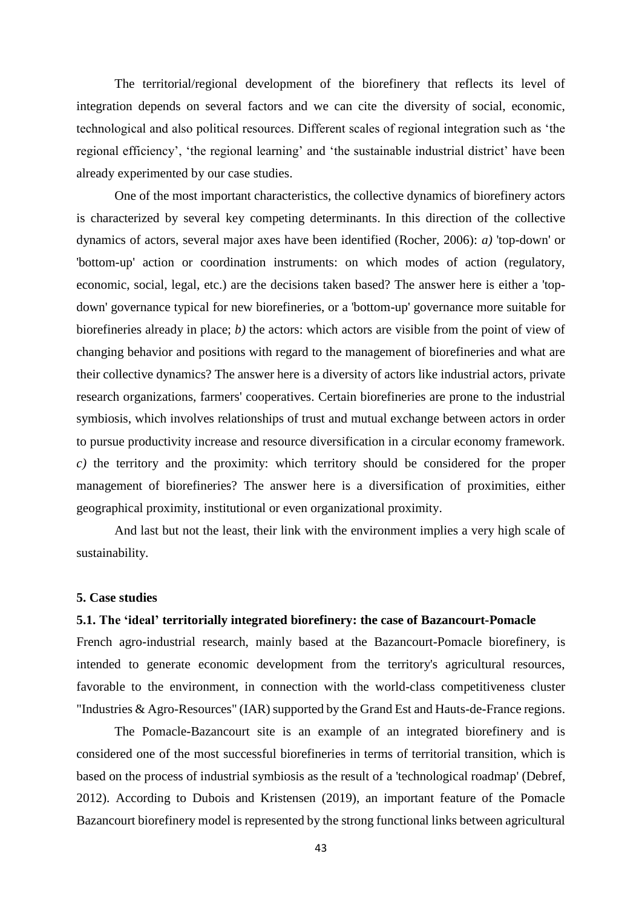The territorial/regional development of the biorefinery that reflects its level of integration depends on several factors and we can cite the diversity of social, economic, technological and also political resources. Different scales of regional integration such as 'the regional efficiency', 'the regional learning' and 'the sustainable industrial district' have been already experimented by our case studies.

One of the most important characteristics, the collective dynamics of biorefinery actors is characterized by several key competing determinants. In this direction of the collective dynamics of actors, several major axes have been identified (Rocher, 2006): *a)* 'top-down' or 'bottom-up' action or coordination instruments: on which modes of action (regulatory, economic, social, legal, etc.) are the decisions taken based? The answer here is either a 'topdown' governance typical for new biorefineries, or a 'bottom-up' governance more suitable for biorefineries already in place; *b)* the actors: which actors are visible from the point of view of changing behavior and positions with regard to the management of biorefineries and what are their collective dynamics? The answer here is a diversity of actors like industrial actors, private research organizations, farmers' cooperatives. Certain biorefineries are prone to the industrial symbiosis, which involves relationships of trust and mutual exchange between actors in order to pursue productivity increase and resource diversification in a circular economy framework. *c)* the territory and the proximity: which territory should be considered for the proper management of biorefineries? The answer here is a diversification of proximities, either geographical proximity, institutional or even organizational proximity.

And last but not the least, their link with the environment implies a very high scale of sustainability.

#### **5. Case studies**

#### **5.1. The 'ideal' territorially integrated biorefinery: the case of Bazancourt-Pomacle**

French agro-industrial research, mainly based at the Bazancourt-Pomacle biorefinery, is intended to generate economic development from the territory's agricultural resources, favorable to the environment, in connection with the world-class competitiveness cluster "Industries & Agro-Resources" (IAR) supported by the Grand Est and Hauts-de-France regions.

The Pomacle-Bazancourt site is an example of an integrated biorefinery and is considered one of the most successful biorefineries in terms of territorial transition, which is based on the process of industrial symbiosis as the result of a 'technological roadmap' (Debref, 2012). According to Dubois and Kristensen (2019), an important feature of the Pomacle Bazancourt biorefinery model is represented by the strong functional links between agricultural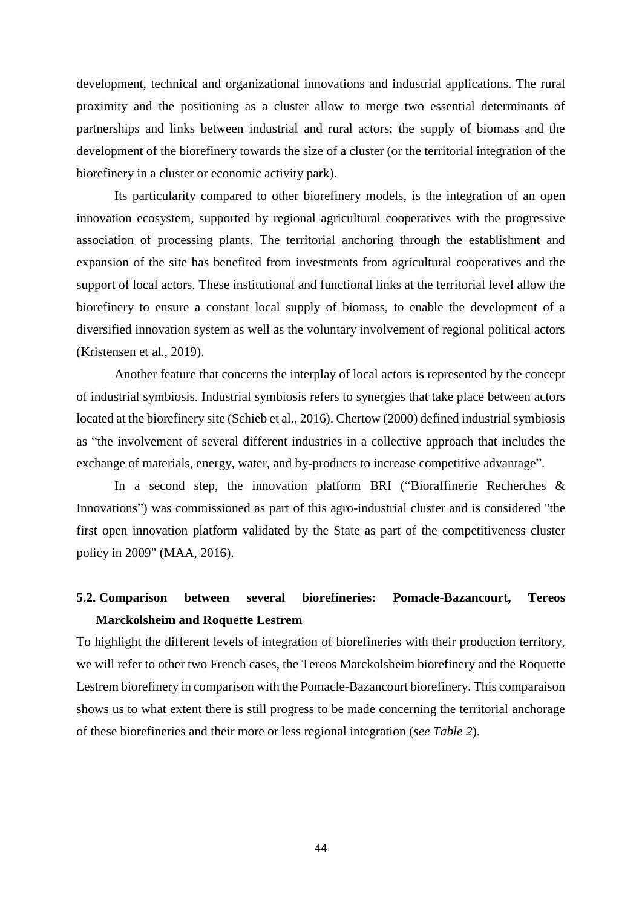development, technical and organizational innovations and industrial applications. The rural proximity and the positioning as a cluster allow to merge two essential determinants of partnerships and links between industrial and rural actors: the supply of biomass and the development of the biorefinery towards the size of a cluster (or the territorial integration of the biorefinery in a cluster or economic activity park).

Its particularity compared to other biorefinery models, is the integration of an open innovation ecosystem, supported by regional agricultural cooperatives with the progressive association of processing plants. The territorial anchoring through the establishment and expansion of the site has benefited from investments from agricultural cooperatives and the support of local actors. These institutional and functional links at the territorial level allow the biorefinery to ensure a constant local supply of biomass, to enable the development of a diversified innovation system as well as the voluntary involvement of regional political actors (Kristensen et al., 2019).

Another feature that concerns the interplay of local actors is represented by the concept of industrial symbiosis. Industrial symbiosis refers to synergies that take place between actors located at the biorefinery site (Schieb et al., 2016). Chertow (2000) defined industrial symbiosis as "the involvement of several different industries in a collective approach that includes the exchange of materials, energy, water, and by-products to increase competitive advantage".

In a second step, the innovation platform BRI ("Bioraffinerie Recherches & Innovations") was commissioned as part of this agro-industrial cluster and is considered "the first open innovation platform validated by the State as part of the competitiveness cluster policy in 2009" (MAA, 2016).

## **5.2. Comparison between several biorefineries: Pomacle-Bazancourt, Tereos Marckolsheim and Roquette Lestrem**

To highlight the different levels of integration of biorefineries with their production territory, we will refer to other two French cases, the Tereos Marckolsheim biorefinery and the Roquette Lestrem biorefinery in comparison with the Pomacle-Bazancourt biorefinery. This comparaison shows us to what extent there is still progress to be made concerning the territorial anchorage of these biorefineries and their more or less regional integration (*see Table 2*).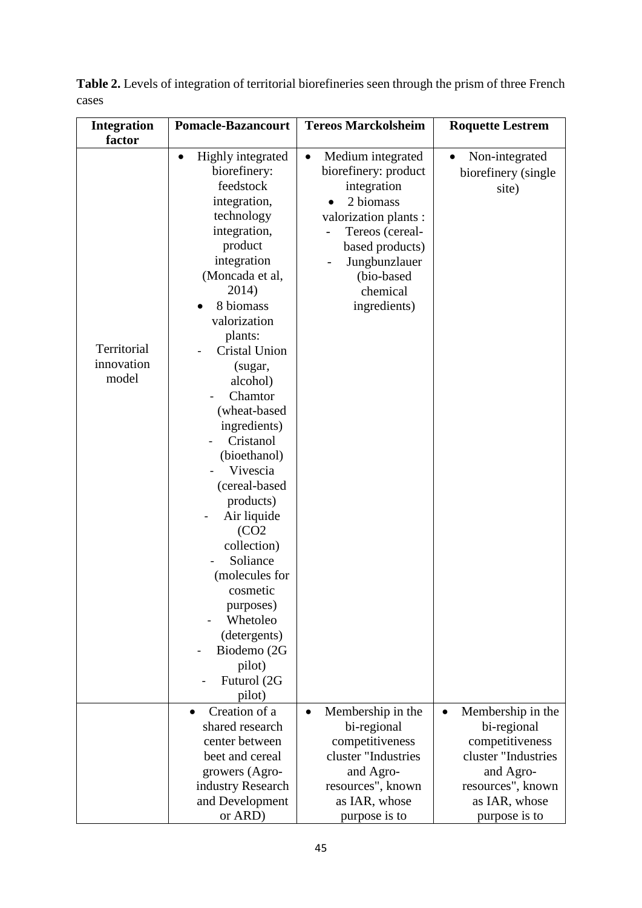| <b>Integration</b>                           | <b>Pomacle-Bazancourt</b>                                                                                                                                                                                                                                                                                                                                         | <b>Tereos Marckolsheim</b>                                                                                                                                                                                                     | <b>Roquette Lestrem</b>                                                                                                                                     |
|----------------------------------------------|-------------------------------------------------------------------------------------------------------------------------------------------------------------------------------------------------------------------------------------------------------------------------------------------------------------------------------------------------------------------|--------------------------------------------------------------------------------------------------------------------------------------------------------------------------------------------------------------------------------|-------------------------------------------------------------------------------------------------------------------------------------------------------------|
|                                              |                                                                                                                                                                                                                                                                                                                                                                   |                                                                                                                                                                                                                                |                                                                                                                                                             |
| factor<br>Territorial<br>innovation<br>model | Highly integrated<br>$\bullet$<br>biorefinery:<br>feedstock<br>integration,<br>technology<br>integration,<br>product<br>integration<br>(Moncada et al,<br>2014)<br>8 biomass<br>valorization<br>plants:<br>Cristal Union<br>(sugar,<br>alcohol)<br>Chamtor<br>(wheat-based<br>ingredients)<br>Cristanol<br>(bioethanol)<br>Vivescia<br>(cereal-based<br>products) | Medium integrated<br>$\bullet$<br>biorefinery: product<br>integration<br>2 biomass<br>valorization plants :<br>Tereos (cereal-<br>$\overline{a}$<br>based products)<br>Jungbunzlauer<br>(bio-based<br>chemical<br>ingredients) | Non-integrated<br>$\bullet$<br>biorefinery (single<br>site)                                                                                                 |
|                                              | Air liquide<br>(CO2)<br>collection)<br>Soliance<br>(molecules for<br>cosmetic<br>purposes)<br>Whetoleo<br>(detergents)<br>Biodemo (2G                                                                                                                                                                                                                             |                                                                                                                                                                                                                                |                                                                                                                                                             |
|                                              | pilot)<br>Futurol (2G<br>pilot)                                                                                                                                                                                                                                                                                                                                   |                                                                                                                                                                                                                                |                                                                                                                                                             |
|                                              | Creation of a<br>shared research<br>center between<br>beet and cereal<br>growers (Agro-<br>industry Research<br>and Development<br>or ARD)                                                                                                                                                                                                                        | Membership in the<br>$\bullet$<br>bi-regional<br>competitiveness<br>cluster "Industries<br>and Agro-<br>resources", known<br>as IAR, whose<br>purpose is to                                                                    | Membership in the<br>$\bullet$<br>bi-regional<br>competitiveness<br>cluster "Industries<br>and Agro-<br>resources", known<br>as IAR, whose<br>purpose is to |

**Table 2.** Levels of integration of territorial biorefineries seen through the prism of three French cases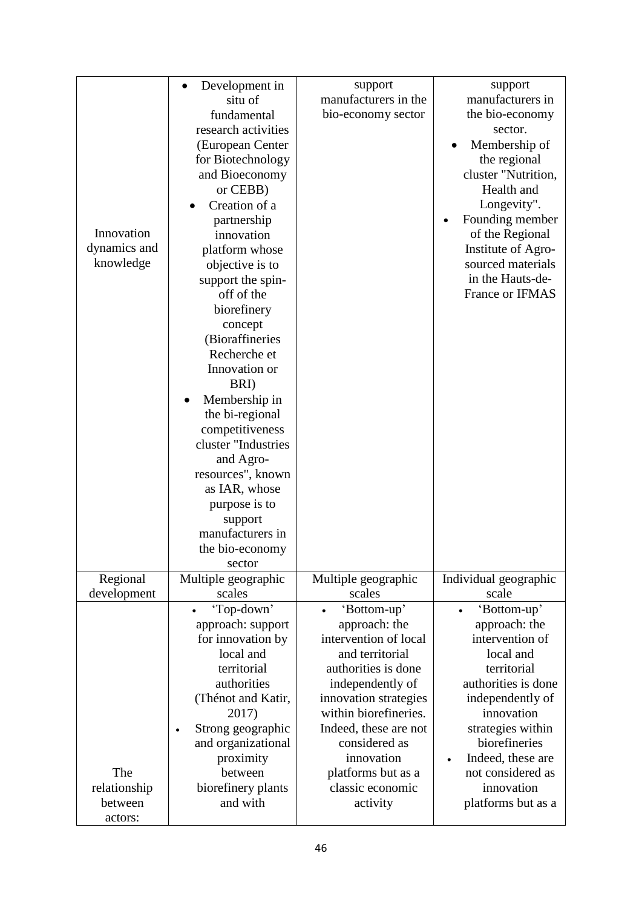|              | Development in                 | support<br>manufacturers in the                | support<br>manufacturers in |
|--------------|--------------------------------|------------------------------------------------|-----------------------------|
|              | situ of                        |                                                |                             |
|              | fundamental                    | bio-economy sector                             | the bio-economy             |
|              | research activities            |                                                | sector.                     |
|              | (European Center               |                                                | Membership of               |
|              | for Biotechnology              |                                                | the regional                |
|              | and Bioeconomy                 |                                                | cluster "Nutrition,         |
|              | or CEBB)                       |                                                | Health and                  |
|              | Creation of a                  |                                                | Longevity".                 |
|              | partnership                    |                                                | Founding member             |
| Innovation   | innovation                     |                                                | of the Regional             |
| dynamics and | platform whose                 |                                                | Institute of Agro-          |
| knowledge    | objective is to                |                                                | sourced materials           |
|              | support the spin-              |                                                | in the Hauts-de-            |
|              | off of the                     |                                                | France or IFMAS             |
|              | biorefinery                    |                                                |                             |
|              | concept                        |                                                |                             |
|              | (Bioraffineries                |                                                |                             |
|              | Recherche et                   |                                                |                             |
|              | Innovation or                  |                                                |                             |
|              |                                |                                                |                             |
|              | BRI)                           |                                                |                             |
|              | Membership in                  |                                                |                             |
|              | the bi-regional                |                                                |                             |
|              | competitiveness                |                                                |                             |
|              | cluster "Industries            |                                                |                             |
|              | and Agro-                      |                                                |                             |
|              | resources", known              |                                                |                             |
|              | as IAR, whose                  |                                                |                             |
|              | purpose is to                  |                                                |                             |
|              | support                        |                                                |                             |
|              | manufacturers in               |                                                |                             |
|              | the bio-economy                |                                                |                             |
|              | sector                         |                                                |                             |
| Regional     | Multiple geographic            | Multiple geographic                            | Individual geographic       |
| development  | scales                         | scales                                         | scale                       |
|              | 'Top-down'                     | 'Bottom-up'                                    | 'Bottom-up'<br>$\bullet$    |
|              | approach: support              | approach: the                                  | approach: the               |
|              | for innovation by              | intervention of local                          | intervention of             |
|              | local and                      | and territorial                                | local and                   |
|              | territorial                    | authorities is done                            | territorial                 |
|              | authorities                    | independently of                               | authorities is done         |
|              | (Thénot and Katir,             |                                                | independently of            |
|              |                                | innovation strategies<br>within biorefineries. |                             |
|              | 2017)                          |                                                | innovation                  |
|              | Strong geographic<br>$\bullet$ | Indeed, these are not                          | strategies within           |
|              | and organizational             | considered as                                  | biorefineries               |
|              | proximity                      | innovation                                     | Indeed, these are           |
| The          | between                        | platforms but as a                             | not considered as           |
| relationship | biorefinery plants             | classic economic                               | innovation                  |
| between      | and with                       | activity                                       | platforms but as a          |
| actors:      |                                |                                                |                             |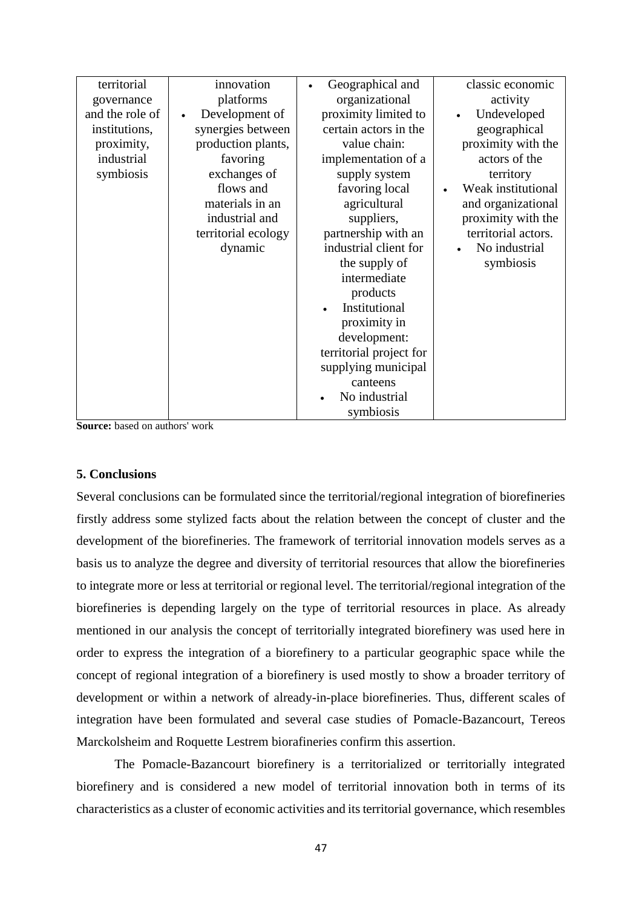| territorial     | innovation                  | Geographical and        | classic economic    |
|-----------------|-----------------------------|-------------------------|---------------------|
| governance      | platforms                   | organizational          | activity            |
| and the role of | Development of<br>$\bullet$ | proximity limited to    | Undeveloped         |
| institutions,   | synergies between           | certain actors in the   | geographical        |
| proximity,      | production plants,          | value chain:            | proximity with the  |
| industrial      | favoring                    | implementation of a     | actors of the       |
| symbiosis       | exchanges of                | supply system           | territory           |
|                 | flows and                   | favoring local          | Weak institutional  |
|                 | materials in an             | agricultural            | and organizational  |
|                 | industrial and              | suppliers,              | proximity with the  |
|                 | territorial ecology         | partnership with an     | territorial actors. |
|                 | dynamic                     | industrial client for   | No industrial       |
|                 |                             | the supply of           | symbiosis           |
|                 |                             | intermediate            |                     |
|                 |                             | products                |                     |
|                 |                             | Institutional           |                     |
|                 |                             | proximity in            |                     |
|                 |                             | development:            |                     |
|                 |                             | territorial project for |                     |
|                 |                             | supplying municipal     |                     |
|                 |                             | canteens                |                     |
|                 |                             | No industrial           |                     |
|                 |                             | symbiosis               |                     |

**Source:** based on authors' work

#### **5. Conclusions**

Several conclusions can be formulated since the territorial/regional integration of biorefineries firstly address some stylized facts about the relation between the concept of cluster and the development of the biorefineries. The framework of territorial innovation models serves as a basis us to analyze the degree and diversity of territorial resources that allow the biorefineries to integrate more or less at territorial or regional level. The territorial/regional integration of the biorefineries is depending largely on the type of territorial resources in place. As already mentioned in our analysis the concept of territorially integrated biorefinery was used here in order to express the integration of a biorefinery to a particular geographic space while the concept of regional integration of a biorefinery is used mostly to show a broader territory of development or within a network of already-in-place biorefineries. Thus, different scales of integration have been formulated and several case studies of Pomacle-Bazancourt, Tereos Marckolsheim and Roquette Lestrem biorafineries confirm this assertion.

The Pomacle-Bazancourt biorefinery is a territorialized or territorially integrated biorefinery and is considered a new model of territorial innovation both in terms of its characteristics as a cluster of economic activities and its territorial governance, which resembles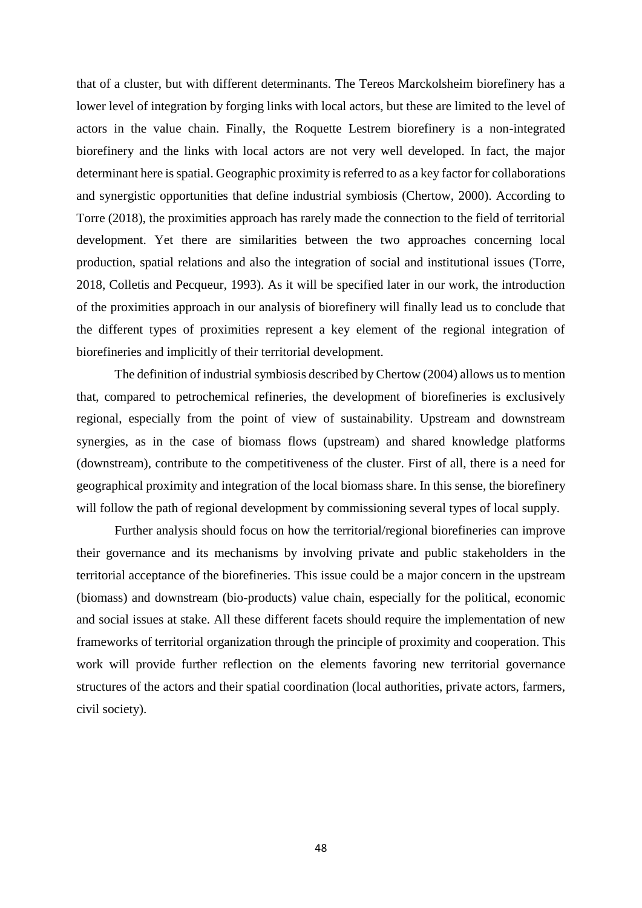that of a cluster, but with different determinants. The Tereos Marckolsheim biorefinery has a lower level of integration by forging links with local actors, but these are limited to the level of actors in the value chain. Finally, the Roquette Lestrem biorefinery is a non-integrated biorefinery and the links with local actors are not very well developed. In fact, the major determinant here is spatial. Geographic proximity is referred to as a key factor for collaborations and synergistic opportunities that define industrial symbiosis (Chertow, 2000). According to Torre (2018), the proximities approach has rarely made the connection to the field of territorial development. Yet there are similarities between the two approaches concerning local production, spatial relations and also the integration of social and institutional issues (Torre, 2018, Colletis and Pecqueur, 1993). As it will be specified later in our work, the introduction of the proximities approach in our analysis of biorefinery will finally lead us to conclude that the different types of proximities represent a key element of the regional integration of biorefineries and implicitly of their territorial development.

The definition of industrial symbiosis described by Chertow (2004) allows us to mention that, compared to petrochemical refineries, the development of biorefineries is exclusively regional, especially from the point of view of sustainability. Upstream and downstream synergies, as in the case of biomass flows (upstream) and shared knowledge platforms (downstream), contribute to the competitiveness of the cluster. First of all, there is a need for geographical proximity and integration of the local biomass share. In this sense, the biorefinery will follow the path of regional development by commissioning several types of local supply.

Further analysis should focus on how the territorial/regional biorefineries can improve their governance and its mechanisms by involving private and public stakeholders in the territorial acceptance of the biorefineries. This issue could be a major concern in the upstream (biomass) and downstream (bio-products) value chain, especially for the political, economic and social issues at stake. All these different facets should require the implementation of new frameworks of territorial organization through the principle of proximity and cooperation. This work will provide further reflection on the elements favoring new territorial governance structures of the actors and their spatial coordination (local authorities, private actors, farmers, civil society).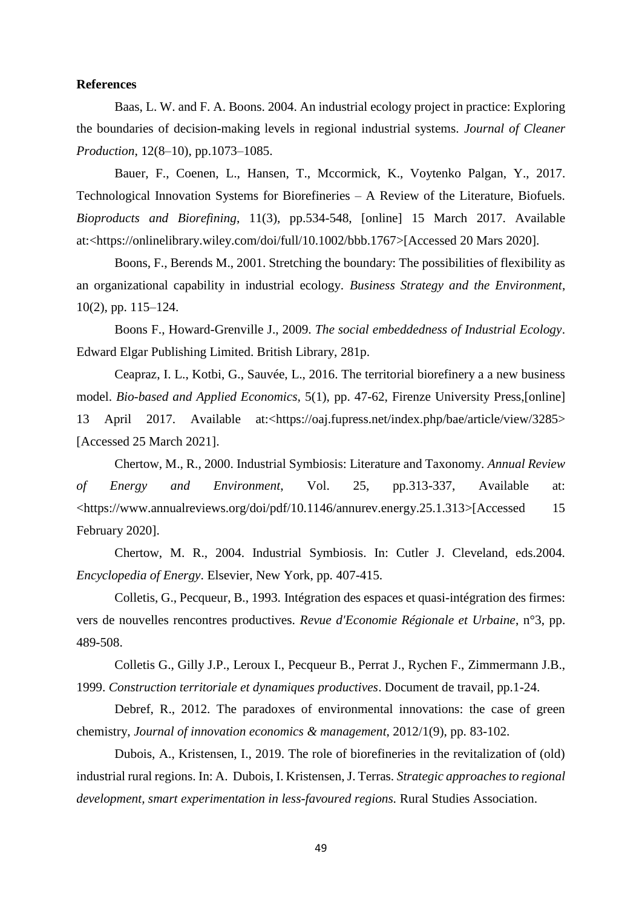#### **References**

Baas, L. W. and F. A. Boons. 2004. An industrial ecology project in practice: Exploring the boundaries of decision-making levels in regional industrial systems. *Journal of Cleaner Production*, 12(8–10), pp.1073–1085.

Bauer, F., Coenen, L., Hansen, T., Mccormick, K., Voytenko Palgan, Y., 2017. Technological Innovation Systems for Biorefineries – A Review of the Literature, Biofuels. *Bioproducts and Biorefining*, 11(3), pp.534-548, [online] 15 March 2017. Available at:[<https://onlinelibrary.wiley.com/doi/full/10.1002/bbb.1767>](https://onlinelibrary.wiley.com/doi/full/10.1002/bbb.1767)[Accessed 20 Mars 2020].

Boons, F., Berends M., 2001. Stretching the boundary: The possibilities of flexibility as an organizational capability in industrial ecology. *Business Strategy and the Environment*, 10(2), pp. 115–124.

Boons F., Howard-Grenville J., 2009. *The social embeddedness of Industrial Ecology*. Edward Elgar Publishing Limited. British Library, 281p.

Ceapraz, I. L., Kotbi, G., Sauvée, L., 2016. The territorial biorefinery a a new business model. *Bio-based and Applied Economics,* 5(1), pp. 47-62, Firenze University Press,[online] 13 April 2017. Available at:[<https://oaj.fupress.net/index.php/bae/article/view/3285>](https://oaj.fupress.net/index.php/bae/article/view/3285) [Accessed 25 March 2021].

Chertow, M., R., 2000. Industrial Symbiosis: Literature and Taxonomy. *Annual Review of Energy and Environment*, Vol. 25, pp.313-337, Available at: [<https://www.annualreviews.org/doi/pdf/10.1146/annurev.energy.25.1.313>](https://www.annualreviews.org/doi/pdf/10.1146/annurev.energy.25.1.313)[Accessed 15 February 2020].

Chertow, M. R., 2004. Industrial Symbiosis. In: Cutler J. Cleveland, eds.2004. *Encyclopedia of Energy*. Elsevier, New York, pp. 407-415.

Colletis, G., Pecqueur, B., 1993. Intégration des espaces et quasi-intégration des firmes: vers de nouvelles rencontres productives. *Revue d'Economie Régionale et Urbaine*, n°3, pp. 489-508.

Colletis G., Gilly J.P., Leroux I., Pecqueur B., Perrat J., Rychen F., Zimmermann J.B., 1999. *Construction territoriale et dynamiques productives*. Document de travail, pp.1-24.

Debref, R., 2012. The paradoxes of environmental innovations: the case of green chemistry, *Journal of innovation economics & management*, 2012/1(9), pp. 83-102.

Dubois, A., Kristensen, I., 2019. The role of biorefineries in the revitalization of (old) industrial rural regions. In: A. Dubois, I. Kristensen, J. Terras. *Strategic approaches to regional development, smart experimentation in less-favoured regions.* Rural Studies Association.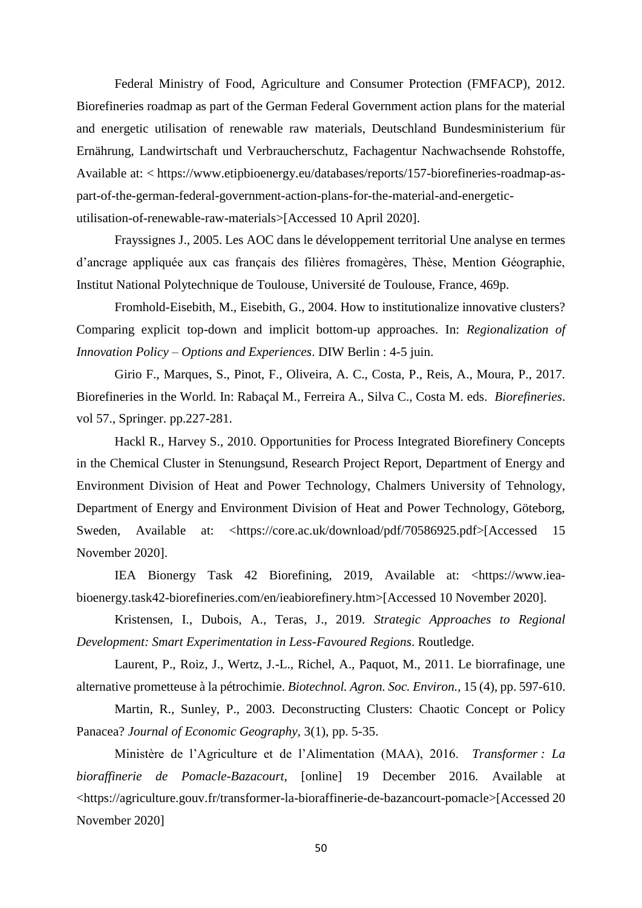Federal Ministry of Food, Agriculture and Consumer Protection (FMFACP), 2012. Biorefineries roadmap as part of the German Federal Government action plans for the material and energetic utilisation of renewable raw materials, Deutschland Bundesministerium für Ernährung, Landwirtschaft und Verbraucherschutz, Fachagentur Nachwachsende Rohstoffe, Available at: < [https://www.etipbioenergy.eu/databases/reports/157-biorefineries-roadmap-as](https://www.etipbioenergy.eu/databases/reports/157-biorefineries-roadmap-as-part-of-the-german-federal-government-action-plans-for-the-material-and-energetic-utilisation-of-renewable-raw-materials)[part-of-the-german-federal-government-action-plans-for-the-material-and-energetic](https://www.etipbioenergy.eu/databases/reports/157-biorefineries-roadmap-as-part-of-the-german-federal-government-action-plans-for-the-material-and-energetic-utilisation-of-renewable-raw-materials)[utilisation-of-renewable-raw-materials>](https://www.etipbioenergy.eu/databases/reports/157-biorefineries-roadmap-as-part-of-the-german-federal-government-action-plans-for-the-material-and-energetic-utilisation-of-renewable-raw-materials)[Accessed 10 April 2020].

Frayssignes J., 2005. Les AOC dans le développement territorial Une analyse en termes d'ancrage appliquée aux cas français des filières fromagères, Thèse, Mention Géographie, Institut National Polytechnique de Toulouse, Université de Toulouse, France, 469p.

Fromhold-Eisebith, M., Eisebith, G., 2004. How to institutionalize innovative clusters? Comparing explicit top-down and implicit bottom-up approaches. In: *Regionalization of Innovation Policy – Options and Experiences*. DIW Berlin : 4-5 juin.

Girio F., Marques, S., Pinot, F., Oliveira, A. C., Costa, P., Reis, A., Moura, P., 2017. Biorefineries in the World. In: Rabaçal M., Ferreira A., Silva C., Costa M. eds. *Biorefineries*. vol 57., Springer. pp.227-281.

Hackl R., Harvey S., 2010. Opportunities for Process Integrated Biorefinery Concepts in the Chemical Cluster in Stenungsund, Research Project Report, Department of Energy and Environment Division of Heat and Power Technology, Chalmers University of Tehnology, Department of Energy and Environment Division of Heat and Power Technology, Göteborg, Sweden, Available at: [<https://core.ac.uk/download/pdf/70586925.pdf>](https://core.ac.uk/download/pdf/70586925.pdf)[Accessed 15 November 2020].

IEA Bionergy Task 42 Biorefining, 2019, Available at: [<https://www.iea](https://www.iea-bioenergy.task42-biorefineries.com/en/ieabiorefinery.htm)[bioenergy.task42-biorefineries.com/en/ieabiorefinery.htm>](https://www.iea-bioenergy.task42-biorefineries.com/en/ieabiorefinery.htm)[Accessed 10 November 2020].

Kristensen, I., Dubois, A., Teras, J., 2019. *Strategic Approaches to Regional Development: Smart Experimentation in Less-Favoured Regions*. Routledge.

Laurent, P., Roiz, J., Wertz, J.-L., Richel, A., Paquot, M., 2011. Le biorrafinage, une alternative prometteuse à la pétrochimie. *Biotechnol. Agron. Soc. Environ.,* 15 (4), pp. 597-610.

Martin, R., Sunley, P., 2003. Deconstructing Clusters: Chaotic Concept or Policy Panacea? *Journal of Economic Geography,* 3(1), pp. 5-35.

Ministère de l'Agriculture et de l'Alimentation (MAA), 2016. *Transformer : La bioraffinerie de Pomacle-Bazacourt*, [online] 19 December 2016. Available at [<https://agriculture.gouv.fr/transformer-la-bioraffinerie-de-bazancourt-pomacle>](https://agriculture.gouv.fr/transformer-la-bioraffinerie-de-bazancourt-pomacle)[Accessed 20 November 2020]